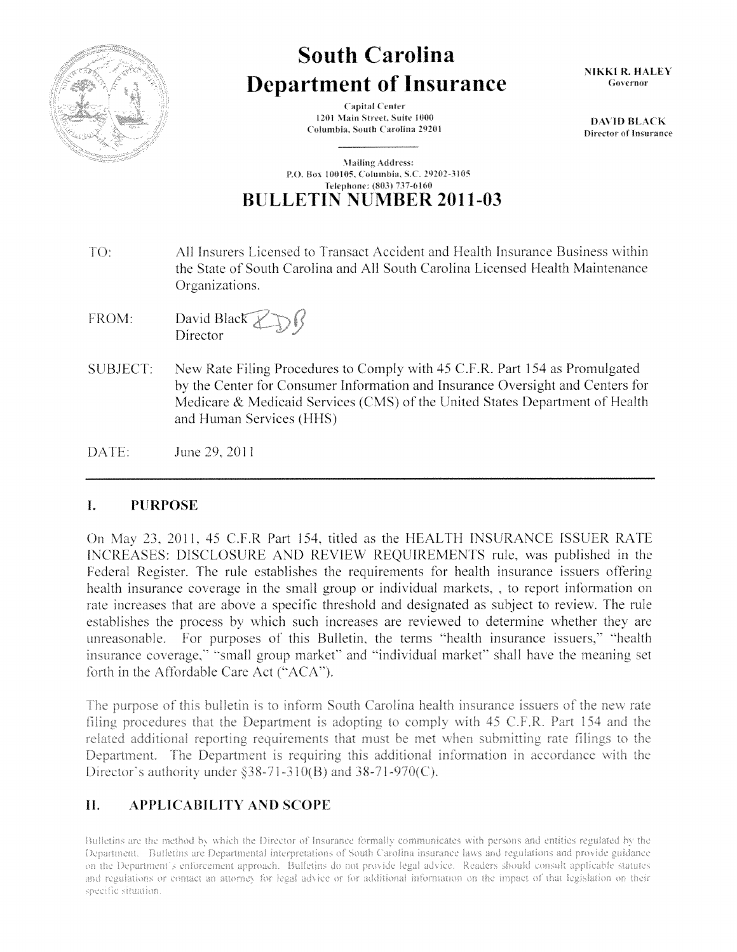

# **South Carolina Department of Insurance**

**Capital Center** 1201 Main Street, Suite 1000 Columbia. South NIKKI R. HALEY Governor

DAVID BLACK Director of Insurance

**Mailing Address:** P.O. Box 100105, Columbia, S.C. 29202-3105 Telephone: (803) 737-6160 **BULLETIN NUl\1BER 2011-03** 

- All Insurers Licensed to Transact Accident and Health Insurance Business within TO: the State of South Carolina and All South Carolina Licensed Health Maintenance Organizations.
- FROM: David Black Director
- SUBJECT: New Rate Filing Procedures to Comply with 45 C.F.R. Part 154 as Promulgated by the Center tor Consumer Information and Insurance Oversight and Centers tor Medicare & Medicaid Services (CMS) of the United States Department of Health and Human Services (HHS)
- June 29. 2011 DATE:

### I. **PURPOSE**

On May 23, 2011, 45 C.F.R Part 154, titled as the HEALTH INSURANCE ISSUER RATE INCREASES: DISCLOSURE AND REVIEW REQUIREMENTS rule, was published in the Federal Register. The rule establishes the requirements for health insurance issuers offering health insurance coverage in the small group or individual markets,, to report information on rate increases that are above a specific threshold and designated as subject to review. The rule establishes the process by which such increases are reviewed to determine whether they are unreasonable. For purposes of this Bulletin, the terms "health insurance issuers," "health insurance coverage," "small group market" and "individual market" shall have the meaning set forth in the Affordable Care Act ("ACA").

The purpose of this bulletin is to inform South Carolina health insurance issuers of the new rate filing procedures that the Department is adopting to comply with 45 C.F.R. Part 154 and the related additional reporting requirements that must be met when submitting rate filings to the Department. The Department is requiring this additional information in accordance with the Director's authority under  $$38-71-310(B)$  and  $38-71-970(C)$ .

## II. APPLICABILITY AND SCOPE

Bulletins are the method by which the Director of Insurance formally communicates with persons and entities regulated by the Department. Bufletins are Departmental interpretations of South Carolina insurance laws and regulations and provide guidance on the Department's enforcement approach. Bulletins do not provide legal advice. Readers should consult applicable statutes and regulations or contact an attorney for legal advice or for additional information on the impact of that legislation on their specific situation.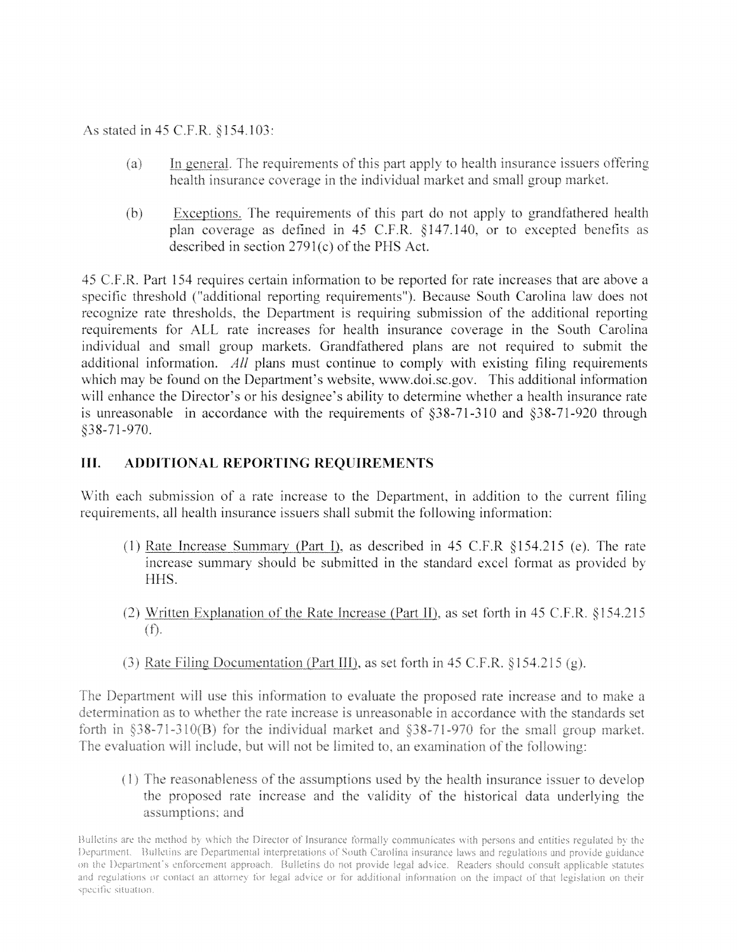As stated in 45 C.F.R. §154.103:

- In general. The requirements of this part apply to health insurance issuers offering  $(a)$ health insurance coverage in the individual market and small group market.
- $(b)$ Exceptions. The requirements of this part do not apply to grandfathered health plan coverage as defined in 45 C.F.R. §147.140, or to excepted benefits as described in section  $2791(c)$  of the PHS Act.

45 C.F.R. Part 154 requires certain information to be reported for rate increases that are above a specific threshold ("additional reporting requirements"). Because South Carolina law does not recognize rate thresholds, the Department is requiring submission of the additional reporting requirements for ALL rate increases for health insurance coverage in the South Carolina individual and small group markets. Grandfathered plans are not required to submit the *All* plans must continue to comply with existing filing requirements which may be found on the Department's website, www.doi.sc.gov. This additional information will enhance the Director's or his designee's ability to determine whether a health insurance rate is unreasonable in accordance with the requirements of  $§38-71-310$  and  $§38-71-920$  through §38-71-970.

### **Ill. ADOITIONAL REPORTING REQUIREMENTS**

With each submission of a rate increase to the Department, in addition to the current filing requirements, all health insurance issuers shall submit the following information:

- (1) Rate Increase Summary (Part I), as described in 45 C.F.R  $§154.215$  (e). The rate increase summary should be submitted in the standard excel format as provided by HHS.
- (2) Written Explanation of the Rate Increase (Part II), as set forth in 45 C.F.R. §154.215  $(f).$
- (3) Rate Filing Documentation (Part III), as set forth in 45 C.F.R.  $§154.215(g)$ .

The Department will use this information to evaluate the proposed rate increase and to make a determination as to whether the rate increase is unreasonable in accordance with the standards set forth in  $\S 38-71-310(B)$  for the individual market and  $\S 38-71-970$  for the small group market. The evaluation will include, but will not be limited to, an examination of the following:

(1) The reasonableness of the assumptions used by the health insurance issuer to develop the proposed rate increase and the validity of the historical data underlying the assumptions; and

Bulletins are the method by which the Director of Insurance formally communicates with persons and entities regulated by the Department. Bulletins are Departmental interpretations of South Carolina insurance laws and regulations and provide guidance on the Department's enforcement approach. Bulletins do not provide legal advice. Readers should consult applicable statutes and regulations or contact an attorney for legal advice or for additional information on the impact of that legislation on their specific situation.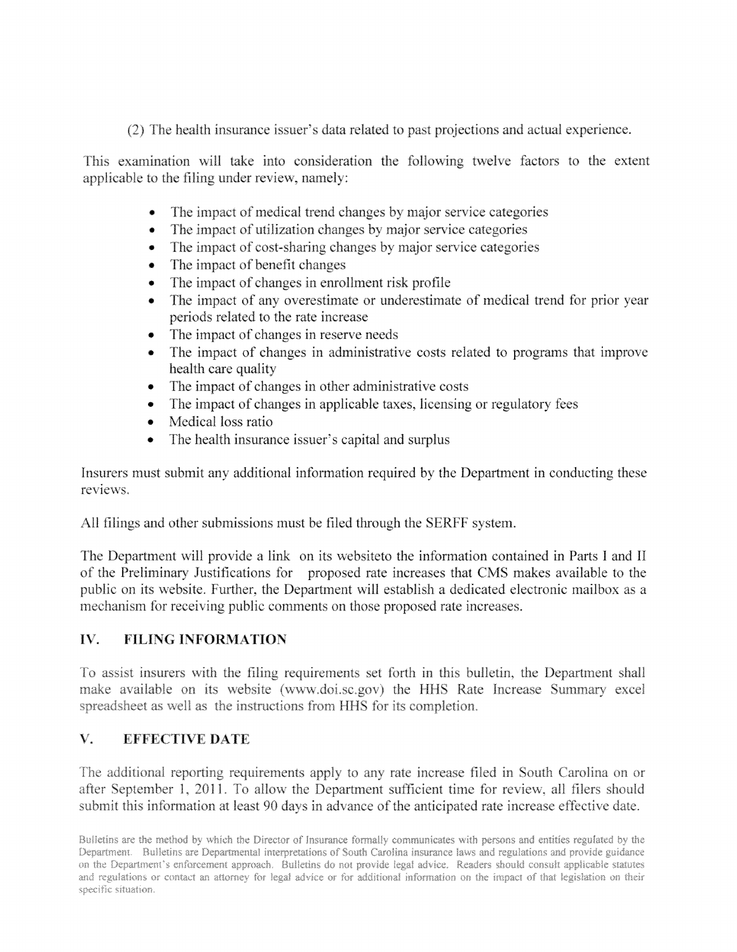(2) The health insurance issuer's data related to past projections and actual experience.

This examination will take into consideration the following twelve factors to the extent applicable to the filing under review, namely:

- The impact of medical trend changes by major service categories
- The impact of utilization changes by major service categories
- The impact of cost-sharing changes by major service categories
- 
- The impact of benefit changes<br>• The impact of changes in enrollment risk profile •
- The impact of any overestimate or underestimate of medical trend for prior year periods related to the rate increase
- The impact of changes in reserve needs
- The impact of changes in administrative costs related to programs that improve health care quality
- 
- The impact of changes in other administrative costs<br>• The impact of changes in applicable taxes, licensing or regulatory fees •
- Medical loss ratio
- The health insurance issuer's capital and surplus

Insurers must submit any additional information required by the Department in conducting these reviews.

All filings and other submissions must be filed through the SERFF system.

The Department will provide a link on its website to the information contained in Parts I and II of the Preliminary Justifications for proposed rate increases that CMS makes available to the public on its website. Further, the Department will establish a dedicated electronic mailbox as a mechanism for receiving public comments on those proposed rate increases.

### $IV.$ **FILING INFORMATION**

To assist insurers with the filing requirements set forth in this bulletin, the Department shall make available on its website (www.doi.sc.gov) the HHS Rate Increase Summary excel spreadsheet as well as the instructions from HHS for its completion.

### $V_{\star}$ **EFFECTIVE DATE**

The additional reporting requirements apply to any rate increase filed in South Carolina on or after September 1, 2011. To allow the Department sufficient time for review, all filers should submit this information at least 90 days in advance of the anticipated rate increase effective date.

Bulletins are the method by which the Director of Insurance formally communicates with persons and entities regulated by the Department. Bulletins are Departmental interpretations of South Carolina insurance laws and regulations and provide guidance on the Department's enforcement approach. Bulletins do not provide legal advice. Readers should consult applicable statutes and regulations or contact an attorney for legal advice or for additional information on the impact of that legislation on their specific situation.